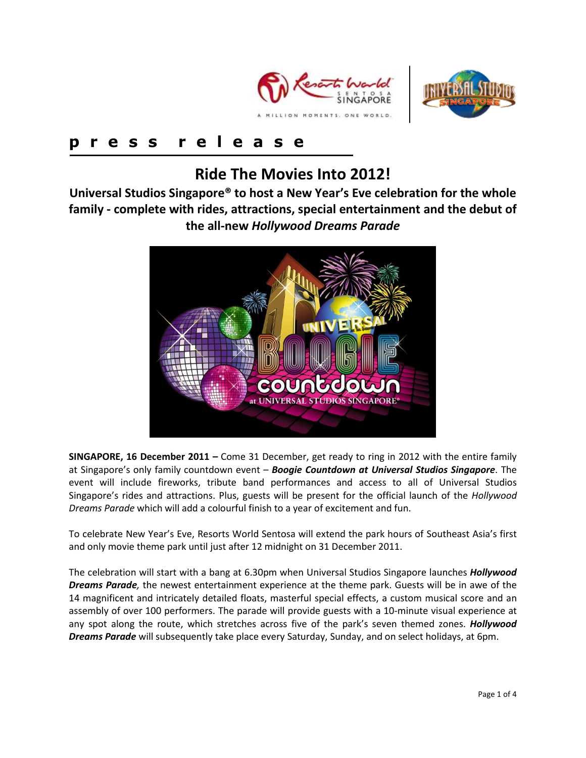



# **p r e s s r e l e a s e**

# **Ride The Movies Into 2012!**

**Universal Studios Singapore® to host a New Year's Eve celebration for the whole family - complete with rides, attractions, special entertainment and the debut of the all-new** *Hollywood Dreams Parade*



**SINGAPORE, 16 December 2011 –** Come 31 December, get ready to ring in 2012 with the entire family at Singapore's only family countdown event – *Boogie Countdown at Universal Studios Singapore*. The event will include fireworks, tribute band performances and access to all of Universal Studios Singapore's rides and attractions. Plus, guests will be present for the official launch of the *Hollywood Dreams Parade* which will add a colourful finish to a year of excitement and fun.

To celebrate New Year's Eve, Resorts World Sentosa will extend the park hours of Southeast Asia's first and only movie theme park until just after 12 midnight on 31 December 2011.

The celebration will start with a bang at 6.30pm when Universal Studios Singapore launches *Hollywood Dreams Parade,* the newest entertainment experience at the theme park. Guests will be in awe of the 14 magnificent and intricately detailed floats, masterful special effects, a custom musical score and an assembly of over 100 performers. The parade will provide guests with a 10-minute visual experience at any spot along the route, which stretches across five of the park's seven themed zones. *Hollywood Dreams Parade* will subsequently take place every Saturday, Sunday, and on select holidays, at 6pm.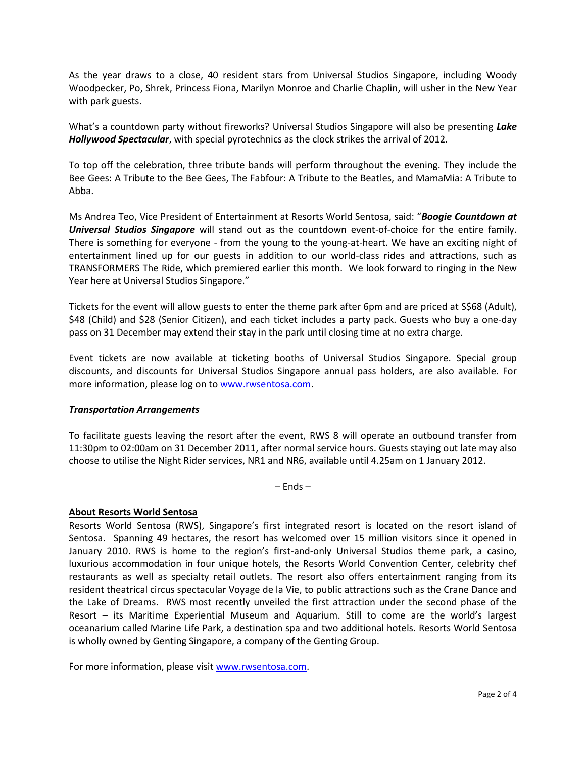As the year draws to a close, 40 resident stars from Universal Studios Singapore, including Woody Woodpecker, Po, Shrek, Princess Fiona, Marilyn Monroe and Charlie Chaplin, will usher in the New Year with park guests.

What's a countdown party without fireworks? Universal Studios Singapore will also be presenting *Lake Hollywood Spectacular*, with special pyrotechnics as the clock strikes the arrival of 2012.

To top off the celebration, three tribute bands will perform throughout the evening. They include the Bee Gees: A Tribute to the Bee Gees, The Fabfour: A Tribute to the Beatles, and MamaMia: A Tribute to Abba.

Ms Andrea Teo, Vice President of Entertainment at Resorts World Sentosa, said: "*Boogie Countdown at Universal Studios Singapore* will stand out as the countdown event-of-choice for the entire family. There is something for everyone - from the young to the young-at-heart. We have an exciting night of entertainment lined up for our guests in addition to our world-class rides and attractions, such as TRANSFORMERS The Ride, which premiered earlier this month. We look forward to ringing in the New Year here at Universal Studios Singapore."

Tickets for the event will allow guests to enter the theme park after 6pm and are priced at S\$68 (Adult), \$48 (Child) and \$28 (Senior Citizen), and each ticket includes a party pack. Guests who buy a one-day pass on 31 December may extend their stay in the park until closing time at no extra charge.

Event tickets are now available at ticketing booths of Universal Studios Singapore. Special group discounts, and discounts for Universal Studios Singapore annual pass holders, are also available. For more information, please log on to [www.rwsentosa.com.](http://www.rwsentosa.com/)

#### *Transportation Arrangements*

To facilitate guests leaving the resort after the event, RWS 8 will operate an outbound transfer from 11:30pm to 02:00am on 31 December 2011, after normal service hours. Guests staying out late may also choose to utilise the Night Rider services, NR1 and NR6, available until 4.25am on 1 January 2012.

– Ends –

## **About Resorts World Sentosa**

Resorts World Sentosa (RWS), Singapore's first integrated resort is located on the resort island of Sentosa. Spanning 49 hectares, the resort has welcomed over 15 million visitors since it opened in January 2010. RWS is home to the region's first-and-only Universal Studios theme park, a casino, luxurious accommodation in four unique hotels, the Resorts World Convention Center, celebrity chef restaurants as well as specialty retail outlets. The resort also offers entertainment ranging from its resident theatrical circus spectacular Voyage de la Vie, to public attractions such as the Crane Dance and the Lake of Dreams. RWS most recently unveiled the first attraction under the second phase of the Resort – its Maritime Experiential Museum and Aquarium. Still to come are the world's largest oceanarium called Marine Life Park, a destination spa and two additional hotels. Resorts World Sentosa is wholly owned by Genting Singapore, a company of the Genting Group.

For more information, please visi[t www.rwsentosa.com.](http://www.rwsentosa.com/)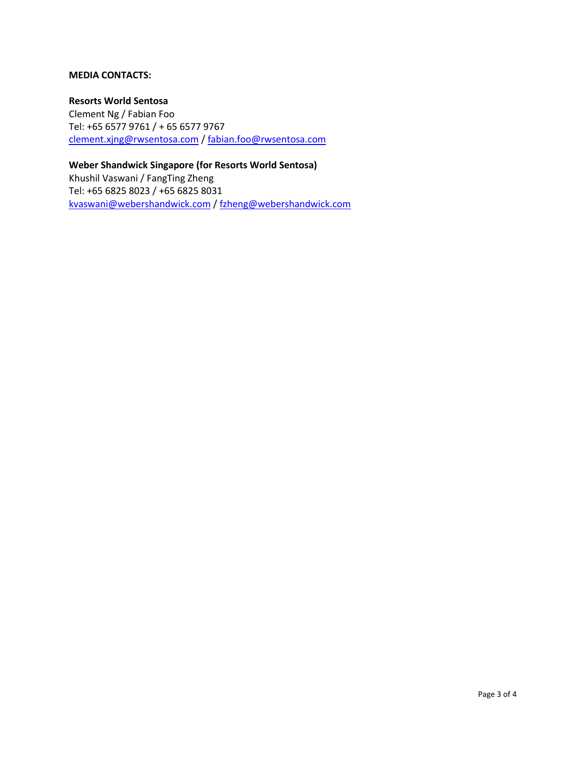#### **MEDIA CONTACTS:**

#### **Resorts World Sentosa**

Clement Ng / Fabian Foo Tel: +65 6577 9761 / + 65 6577 9767 [clement.xjng@rwsentosa.com](mailto:clement.xjng@rwsentosa.com) / [fabian.foo@rwsentosa.com](mailto:fabian.foo@rwsentosa.com)

**Weber Shandwick Singapore (for Resorts World Sentosa)**  Khushil Vaswani / FangTing Zheng Tel: +65 6825 8023 / +65 6825 8031 [kvaswani@webershandwick.com](mailto:kvaswani@webershandwick.com) [/ fzheng@webershandwick.com](mailto:fzheng@webershandwick.com)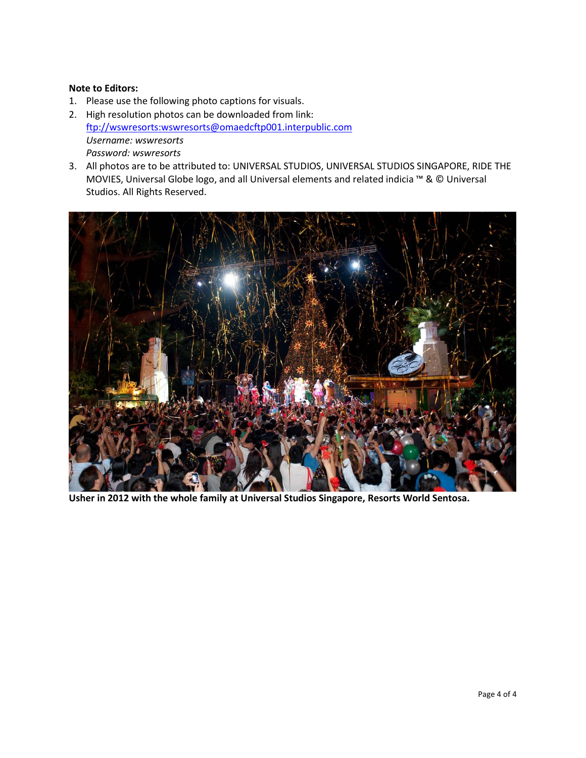### **Note to Editors:**

- 1. Please use the following photo captions for visuals.
- 2. High resolution photos can be downloaded from link: [ftp://wswresorts:wswresorts@omaedcftp001.interpublic.com](ftp://wswresorts:wswresorts@omaedcftp001.interpublic.com/)  *Username: wswresorts Password: wswresorts*
- 3. All photos are to be attributed to: UNIVERSAL STUDIOS, UNIVERSAL STUDIOS SINGAPORE, RIDE THE MOVIES, Universal Globe logo, and all Universal elements and related indicia ™ & © Universal Studios. All Rights Reserved.



**Usher in 2012 with the whole family at Universal Studios Singapore, Resorts World Sentosa.**